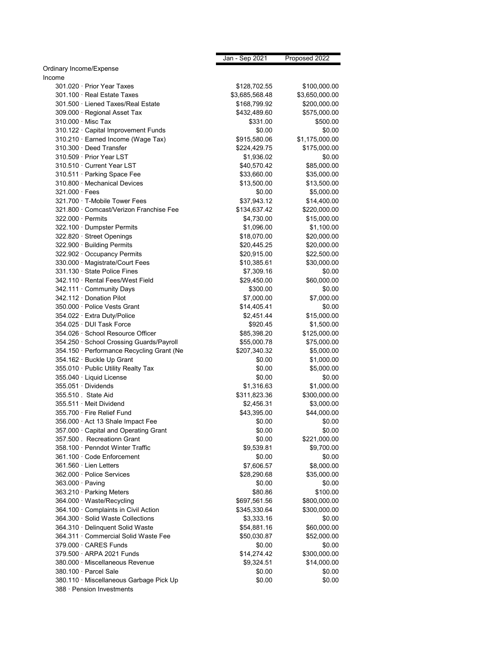|                                           | Jan - Sep 2021 | Proposed 2022  |
|-------------------------------------------|----------------|----------------|
| Ordinary Income/Expense                   |                |                |
| Income                                    |                |                |
| 301.020 · Prior Year Taxes                | \$128,702.55   | \$100,000.00   |
| 301.100 · Real Estate Taxes               | \$3,685,568.48 | \$3,650,000.00 |
| 301.500 · Liened Taxes/Real Estate        | \$168,799.92   | \$200,000.00   |
| 309.000 · Regional Asset Tax              | \$432,489.60   | \$575,000.00   |
| 310.000 Misc Tax                          | \$331.00       | \$500.00       |
| 310.122 · Capital Improvement Funds       | \$0.00         | \$0.00         |
| 310.210 · Earned Income (Wage Tax)        | \$915,580.06   | \$1,175,000.00 |
| 310.300 · Deed Transfer                   | \$224,429.75   | \$175,000.00   |
| 310.509 · Prior Year LST                  | \$1,936.02     | \$0.00         |
| 310.510 · Current Year LST                | \$40,570.42    | \$85,000.00    |
| 310.511 · Parking Space Fee               | \$33,660.00    | \$35,000.00    |
| 310.800 · Mechanical Devices              | \$13,500.00    | \$13,500.00    |
| $321.000 \cdot$ Fees                      | \$0.00         | \$5,000.00     |
| 321.700 · T-Mobile Tower Fees             | \$37,943.12    | \$14,400.00    |
| 321.800 Comcast/Verizon Franchise Fee     | \$134,637.42   | \$220,000.00   |
| $322.000 \cdot$ Permits                   | \$4,730.00     | \$15,000.00    |
| 322.100 · Dumpster Permits                | \$1,096.00     | \$1,100.00     |
| 322.820 · Street Openings                 | \$18,070.00    | \$20,000.00    |
| 322.900 · Building Permits                | \$20,445.25    | \$20,000.00    |
| 322.902 · Occupancy Permits               | \$20,915.00    | \$22,500.00    |
| 330.000 · Magistrate/Court Fees           | \$10,385.61    | \$30,000.00    |
| 331.130 · State Police Fines              | \$7,309.16     | \$0.00         |
| 342.110 · Rental Fees/West Field          | \$29,450.00    | \$60,000.00    |
| 342.111 Community Days                    | \$300.00       | \$0.00         |
| 342.112 Donation Pilot                    | \$7,000.00     | \$7,000.00     |
| 350.000 · Police Vests Grant              | \$14,405.41    | \$0.00         |
| 354.022 · Extra Duty/Police               | \$2,451.44     | \$15,000.00    |
| 354.025 · DUI Task Force                  | \$920.45       | \$1,500.00     |
| 354.026 · School Resource Officer         | \$85,398.20    | \$125,000.00   |
| 354.250 · School Crossing Guards/Payroll  | \$55,000.78    | \$75,000.00    |
| 354.150 · Performance Recycling Grant (Ne | \$207,340.32   | \$5,000.00     |
| 354.162 · Buckle Up Grant                 | \$0.00         | \$1,000.00     |
| 355.010 · Public Utility Realty Tax       | \$0.00         | \$5,000.00     |
| 355.040 · Liquid License                  | \$0.00         | \$0.00         |
| 355.051 · Dividends                       | \$1,316.63     | \$1,000.00     |
| 355.510 State Aid                         | \$311,823.36   | \$300,000.00   |
| 355.511 · Meit Dividend                   | \$2,456.31     | \$3,000.00     |
| 355.700 · Fire Relief Fund                | \$43,395.00    | \$44,000.00    |
| 356.000 · Act 13 Shale Impact Fee         | \$0.00         | \$0.00         |
| 357.000 Capital and Operating Grant       | \$0.00         | \$0.00         |
| 357.500 . Recreationn Grant               | \$0.00         | \$221,000.00   |
| 358.100 · Penndot Winter Traffic          | \$9,539.81     | \$9,700.00     |
| 361.100 · Code Enforcement                | \$0.00         | \$0.00         |
| 361.560 · Lien Letters                    | \$7,606.57     | \$8,000.00     |
| 362.000 · Police Services                 | \$28,290.68    | \$35,000.00    |
| $363.000 \cdot$ Paving                    | \$0.00         | \$0.00         |
| 363.210 · Parking Meters                  | \$80.86        | \$100.00       |
| 364.000 · Waste/Recycling                 | \$697,561.56   | \$800,000.00   |
| 364.100 Complaints in Civil Action        | \$345,330.64   | \$300,000.00   |
| 364.300 Solid Waste Collections           | \$3,333.16     | \$0.00         |
| 364.310 · Delinquent Solid Waste          | \$54,881.16    | \$60,000.00    |
| 364.311 · Commercial Solid Waste Fee      | \$50,030.87    | \$52,000.00    |
| 379.000 · CARES Funds                     | \$0.00         | \$0.00         |
| 379.500 · ARPA 2021 Funds                 | \$14,274.42    | \$300,000.00   |
| 380.000 · Miscellaneous Revenue           | \$9,324.51     | \$14,000.00    |
| 380.100 · Parcel Sale                     | \$0.00         | \$0.00         |
| 380.110 · Miscellaneous Garbage Pick Up   | \$0.00         | \$0.00         |
| 388 · Pension Investments                 |                |                |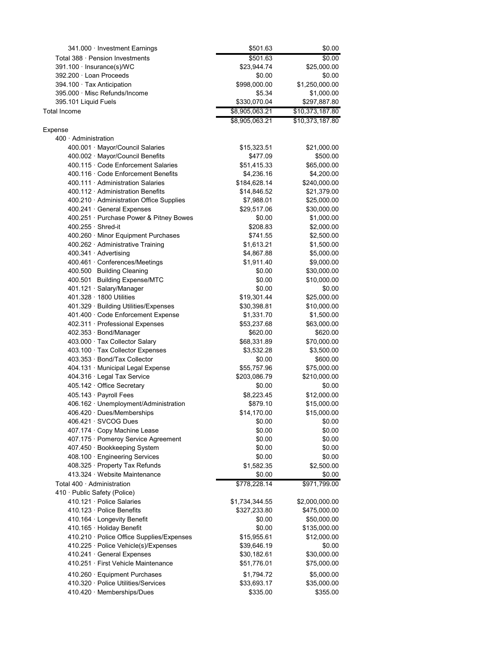| 341.000 · Investment Earnings                                              | \$501.63                  | \$0.00                      |
|----------------------------------------------------------------------------|---------------------------|-----------------------------|
| Total 388 · Pension Investments                                            | \$501.63                  | \$0.00                      |
| 391.100 · Insurance(s)/WC                                                  | \$23,944.74               | \$25,000.00                 |
| 392.200 · Loan Proceeds                                                    | \$0.00                    | \$0.00                      |
| 394.100 · Tax Anticipation                                                 | \$998,000.00              | \$1,250,000.00              |
| 395.000 · Misc Refunds/Income                                              | \$5.34                    | \$1,000.00                  |
| 395.101 Liquid Fuels                                                       | \$330,070.04              | \$297,887.80                |
| Total Income                                                               | \$8,905,063.21            | \$10,373,187.80             |
|                                                                            | \$8,905,063.21            | \$10,373,187.80             |
| Expense                                                                    |                           |                             |
| 400 · Administration                                                       |                           |                             |
| 400.001 · Mayor/Council Salaries                                           | \$15,323.51               | \$21,000.00                 |
| 400.002 · Mayor/Council Benefits                                           | \$477.09                  | \$500.00                    |
| 400.115 · Code Enforcement Salaries<br>400.116 · Code Enforcement Benefits | \$51,415.33               | \$65,000.00                 |
| 400.111 · Administration Salaries                                          | \$4,236.16                | \$4,200.00                  |
| 400.112 Administration Benefits                                            | \$184,628.14              | \$240,000.00                |
| 400.210 Administration Office Supplies                                     | \$14,846.52<br>\$7,988.01 | \$21,379.00<br>\$25,000.00  |
| 400.241 · General Expenses                                                 | \$29,517.06               | \$30,000.00                 |
| 400.251 · Purchase Power & Pitney Bowes                                    | \$0.00                    | \$1,000.00                  |
| $400.255 \cdot$ Shred-it                                                   | \$208.83                  | \$2,000.00                  |
| 400.260 · Minor Equipment Purchases                                        | \$741.55                  | \$2,500.00                  |
| 400.262 · Administrative Training                                          | \$1,613.21                | \$1,500.00                  |
| 400.341 · Advertising                                                      | \$4,867.88                | \$5,000.00                  |
| 400.461 · Conferences/Meetings                                             | \$1,911.40                | \$9,000.00                  |
| 400.500 Building Cleaning                                                  | \$0.00                    | \$30,000.00                 |
| 400.501 Building Expense/MTC                                               | \$0.00                    | \$10,000.00                 |
| 401.121 · Salary/Manager                                                   | \$0.00                    | \$0.00                      |
| 401.328 · 1800 Utilities                                                   | \$19,301.44               | \$25,000.00                 |
| 401.329 · Building Utilities/Expenses                                      | \$30,398.81               | \$10,000.00                 |
| 401.400 · Code Enforcement Expense                                         | \$1,331.70                | \$1,500.00                  |
| 402.311 · Professional Expenses                                            | \$53,237.68               | \$63,000.00                 |
| 402.353 · Bond/Manager                                                     | \$620.00                  | \$620.00                    |
| 403.000 · Tax Collector Salary                                             | \$68,331.89               | \$70,000.00                 |
| 403.100 · Tax Collector Expenses                                           | \$3,532.28                | \$3,500.00                  |
| 403.353 · Bond/Tax Collector                                               | \$0.00                    | \$600.00                    |
| 404.131 · Municipal Legal Expense                                          | \$55,757.96               | \$75,000.00                 |
| 404.316 · Legal Tax Service                                                | \$203,086.79              | \$210,000.00                |
| 405.142 · Office Secretary                                                 | \$0.00                    | \$0.00                      |
| 405.143 · Payroll Fees                                                     | \$8,223.45                | \$12,000.00                 |
| 406.162 · Unemployment/Administration                                      | \$879.10                  | \$15,000.00                 |
| $406.420 \cdot$ Dues/Memberships                                           | \$14,170.00               | \$15,000.00                 |
| 406.421 · SVCOG Dues                                                       | \$0.00                    | \$0.00                      |
| 407.174 · Copy Machine Lease                                               | \$0.00                    | \$0.00                      |
| 407.175 · Pomeroy Service Agreement                                        | \$0.00                    | \$0.00                      |
| 407.450 · Bookkeeping System                                               | \$0.00                    | \$0.00                      |
| 408.100 · Engineering Services                                             | \$0.00                    | \$0.00                      |
| 408.325 · Property Tax Refunds                                             | \$1,582.35                | \$2,500.00                  |
| 413.324 · Website Maintenance                                              | \$0.00                    | \$0.00                      |
| Total $400 \cdot$ Administration                                           | \$778,228.14              | \$971,799.00                |
| 410 · Public Safety (Police)                                               |                           |                             |
| 410.121 · Police Salaries<br>410.123 · Police Benefits                     | \$1,734,344.55            | \$2,000,000.00              |
|                                                                            | \$327,233.80<br>\$0.00    | \$475,000.00                |
| 410.164 · Longevity Benefit<br>410.165 · Holiday Benefit                   | \$0.00                    | \$50,000.00<br>\$135,000.00 |
| 410.210 · Police Office Supplies/Expenses                                  | \$15,955.61               | \$12,000.00                 |
| 410.225 · Police Vehicle(s)/Expenses                                       | \$39,646.19               | \$0.00                      |
| 410.241 · General Expenses                                                 | \$30,182.61               | \$30,000.00                 |
| 410.251 · First Vehicle Maintenance                                        | \$51,776.01               | \$75,000.00                 |
|                                                                            |                           |                             |
| 410.260 · Equipment Purchases                                              | \$1,794.72                | \$5,000.00                  |
| 410.320 · Police Utilities/Services                                        | \$33,693.17               | \$35,000.00                 |
| 410.420 · Memberships/Dues                                                 | \$335.00                  | \$355.00                    |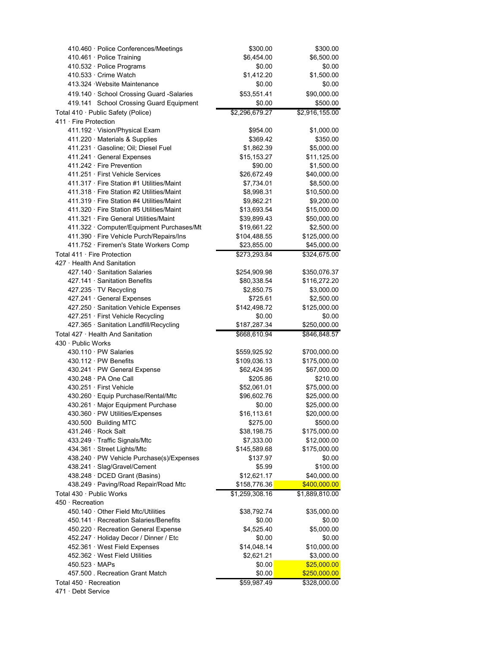| 410.460 · Police Conferences/Meetings              | \$300.00       | \$300.00       |
|----------------------------------------------------|----------------|----------------|
| 410.461 · Police Training                          | \$6,454.00     | \$6,500.00     |
| 410.532 · Police Programs                          | \$0.00         | \$0.00         |
| 410.533 · Crime Watch                              | \$1,412.20     | \$1,500.00     |
| 413.324 · Website Maintenance                      | \$0.00         | \$0.00         |
| 419.140 · School Crossing Guard -Salaries          | \$53,551.41    | \$90,000.00    |
| 419.141 School Crossing Guard Equipment            | \$0.00         | \$500.00       |
| Total 410 · Public Safety (Police)                 | \$2,296,679.27 | \$2,916,155.00 |
| $411 \cdot$ Fire Protection                        |                |                |
| 411.192 · Vision/Physical Exam                     | \$954.00       | \$1,000.00     |
| 411.220 · Materials & Supplies                     | \$369.42       | \$350.00       |
| 411.231 · Gasoline; Oil; Diesel Fuel               | \$1,862.39     | \$5,000.00     |
| 411.241 · General Expenses                         | \$15,153.27    | \$11,125.00    |
| 411.242 · Fire Prevention                          | \$90.00        | \$1,500.00     |
| 411.251 · First Vehicle Services                   | \$26,672.49    | \$40,000.00    |
| 411.317 · Fire Station #1 Utilities/Maint          | \$7,734.01     | \$8,500.00     |
| 411.318 · Fire Station #2 Utilities/Maint          | \$8,998.31     | \$10,500.00    |
| 411.319 · Fire Station #4 Utilities/Maint          | \$9,862.21     | \$9,200.00     |
| 411.320 · Fire Station #5 Utilities/Maint          | \$13,693.54    | \$15,000.00    |
| 411.321 · Fire General Utilities/Maint             | \$39,899.43    | \$50,000.00    |
| 411.322 · Computer/Equipment Purchases/Mt          | \$19,661.22    | \$2,500.00     |
| 411.390 · Fire Vehicle Purch/Repairs/Ins           | \$104,488.55   | \$125,000.00   |
| 411.752 · Firemen's State Workers Comp             | \$23,855.00    | \$45,000.00    |
|                                                    |                |                |
| Total 411 · Fire Protection                        | \$273,293.84   | \$324,675.00   |
| 427 · Health And Sanitation                        |                |                |
| 427.140 · Sanitation Salaries                      | \$254,909.98   | \$350,076.37   |
| 427.141 · Sanitation Benefits                      | \$80,338.54    | \$116,272.20   |
| $427.235 \cdot TV$ Recycling                       | \$2,850.75     | \$3,000.00     |
| 427.241 · General Expenses                         | \$725.61       | \$2,500.00     |
| 427.250 · Sanitation Vehicle Expenses              | \$142,498.72   | \$125,000.00   |
| 427.251 · First Vehicle Recycling                  | \$0.00         | \$0.00         |
| 427.365 · Sanitation Landfill/Recycling            | \$187,287.34   | \$250,000.00   |
| Total 427 · Health And Sanitation                  | \$668,610.94   | \$846,848.57   |
| 430 · Public Works                                 |                |                |
| $430.110 \cdot PW$ Salaries                        | \$559,925.92   | \$700,000.00   |
| $430.112 \cdot PW$ Benefits                        | \$109,036.13   | \$175,000.00   |
| 430.241 · PW General Expense                       | \$62,424.95    | \$67,000.00    |
| 430.248 · PA One Call                              | \$205.86       | \$210.00       |
| 430.251 · First Vehicle                            | \$52,061.01    | \$75,000.00    |
| 430.260 · Equip Purchase/Rental/Mtc                | \$96,602.76    | \$25,000.00    |
| 430.261 · Major Equipment Purchase                 | \$0.00         | \$25,000.00    |
| 430.360 · PW Utilities/Expenses                    | \$16,113.61    | \$20,000.00    |
| 430.500 Building MTC                               | \$275.00       | \$500.00       |
| 431.246 · Rock Salt                                | \$38,198.75    | \$175,000.00   |
| 433.249 · Traffic Signals/Mtc                      | \$7,333.00     | \$12,000.00    |
| 434.361 · Street Lights/Mtc                        | \$145,589.68   | \$175,000.00   |
| 438.240 · PW Vehicle Purchase(s)/Expenses          | \$137.97       | \$0.00         |
| 438.241 · Slag/Gravel/Cement                       | \$5.99         | \$100.00       |
| 438.248 · DCED Grant (Basins)                      | \$12,621.17    | \$40,000.00    |
| 438.249 · Paving/Road Repair/Road Mtc              | \$158,776.36   | \$400,000.00   |
| Total 430 · Public Works                           | \$1,259,308.16 | \$1,889,810.00 |
| $450 \cdot$ Recreation                             |                |                |
| 450.140 Other Field Mtc/Utilities                  | \$38,792.74    | \$35,000.00    |
| 450.141 · Recreation Salaries/Benefits             | \$0.00         | \$0.00         |
| 450.220 · Recreation General Expense               | \$4,525.40     | \$5,000.00     |
| 452.247 · Holiday Decor / Dinner / Etc             | \$0.00         | \$0.00         |
| 452.361 · West Field Expenses                      | \$14,048.14    | \$10,000.00    |
| 452.362 · West Field Utilities                     | \$2,621.21     | \$3,000.00     |
| $450.523 \cdot \text{MAPs}$                        | \$0.00         | \$25,000.00    |
| 457.500 . Recreation Grant Match                   | \$0.00         | \$250,000.00   |
|                                                    |                |                |
| Total $450 \cdot$ Recreation<br>471 · Debt Service | \$59,987.49    | \$328,000.00   |
|                                                    |                |                |